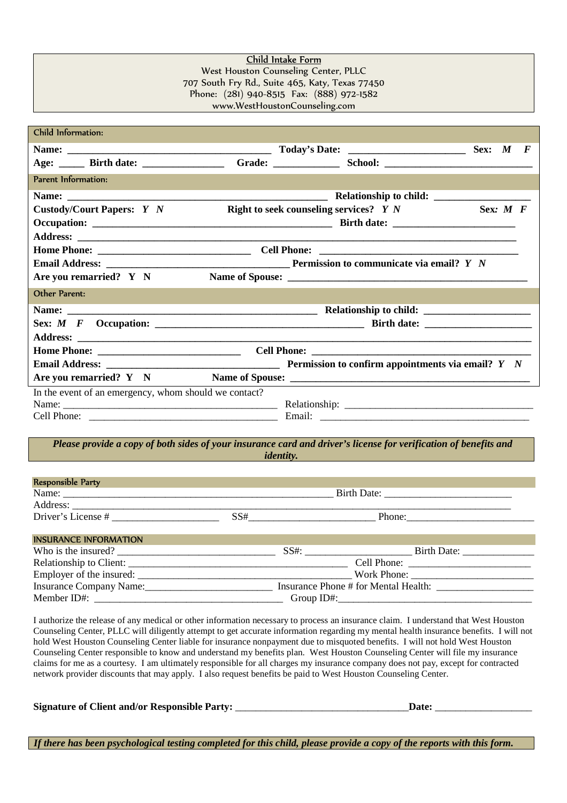Child Intake Form West Houston Counseling Center, PLLC 707 South Fry Rd., Suite 465, Katy, Texas 77450 Phone: (281) 940-8515 Fax: (888) 972-1582 www.WestHoustonCounseling.com

| <b>Child Information:</b>                             |                                                               |
|-------------------------------------------------------|---------------------------------------------------------------|
|                                                       | Sex: $M$ F                                                    |
| Age: ______ Birth date: _________________             |                                                               |
| <b>Parent Information:</b>                            |                                                               |
|                                                       |                                                               |
| <b>Custody/Court Papers: Y N</b>                      | <b>Right to seek counseling services?</b> Y N<br>Sex: $M$ $F$ |
|                                                       |                                                               |
|                                                       |                                                               |
|                                                       |                                                               |
|                                                       |                                                               |
| Are you remarried? Y N                                |                                                               |
| <b>Other Parent:</b>                                  |                                                               |
|                                                       |                                                               |
|                                                       |                                                               |
|                                                       |                                                               |
|                                                       |                                                               |
|                                                       |                                                               |
|                                                       |                                                               |
| In the event of an emergency, whom should we contact? |                                                               |
|                                                       |                                                               |
|                                                       |                                                               |

 *Please provide a copy of both sides of your insurance card and driver's license for verification of benefits and identity.* 

| <b>Responsible Party</b>     |     |                   |                             |  |
|------------------------------|-----|-------------------|-----------------------------|--|
| Name:                        |     |                   | Birth Date:                 |  |
| Address:                     |     |                   |                             |  |
| Driver's License #           | SS# |                   | Phone:                      |  |
| <b>INSURANCE INFORMATION</b> |     |                   |                             |  |
| $\mathbf{v}$                 |     | $\alpha$ $\alpha$ | $\mathbf{D}$ . $\mathbf{D}$ |  |

| Who is the insured?      | SS#<br>Birth Date:                   |
|--------------------------|--------------------------------------|
| Relationship to Client:  | Cell Phone:                          |
| Employer of the insured: | Work Phone:                          |
| Insurance Company Name:  | Insurance Phone # for Mental Health: |
| Member ID#:              | Group $ID#$ :                        |

I authorize the release of any medical or other information necessary to process an insurance claim. I understand that West Houston Counseling Center, PLLC will diligently attempt to get accurate information regarding my mental health insurance benefits. I will not hold West Houston Counseling Center liable for insurance nonpayment due to misquoted benefits. I will not hold West Houston Counseling Center responsible to know and understand my benefits plan. West Houston Counseling Center will file my insurance claims for me as a courtesy. I am ultimately responsible for all charges my insurance company does not pay, except for contracted network provider discounts that may apply. I also request benefits be paid to West Houston Counseling Center.

| <b>Signature of Client and/or Responsible Party:</b> | Date. |  |
|------------------------------------------------------|-------|--|
|                                                      |       |  |

*If there has been psychological testing completed for this child, please provide a copy of the reports with this form.*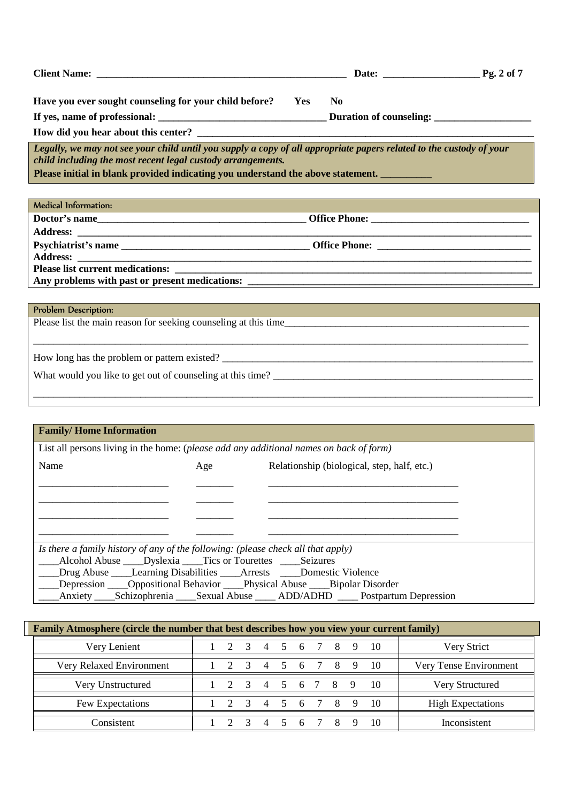| Client Name: ________                                                                                                                                                                            |            | Date:                   | Pg. 2 of 7 |
|--------------------------------------------------------------------------------------------------------------------------------------------------------------------------------------------------|------------|-------------------------|------------|
| Have you ever sought counseling for your child before?                                                                                                                                           | <b>Yes</b> | No.                     |            |
| If yes, name of professional:                                                                                                                                                                    |            | Duration of counseling: |            |
| How did you hear about this center?                                                                                                                                                              |            |                         |            |
| Legally, we may not see your child until you supply a copy of all appropriate papers related to the custody of your<br>child including the most recent legal custody arrangements.<br><b>TAX</b> |            |                         |            |

|  | Please initial in blank provided indicating you understand the above statement. |  |
|--|---------------------------------------------------------------------------------|--|
|  |                                                                                 |  |

| Medical Information:                           |  |
|------------------------------------------------|--|
|                                                |  |
|                                                |  |
|                                                |  |
|                                                |  |
|                                                |  |
| Any problems with past or present medications: |  |
|                                                |  |

 $\_$  ,  $\_$  ,  $\_$  ,  $\_$  ,  $\_$  ,  $\_$  ,  $\_$  ,  $\_$  ,  $\_$  ,  $\_$  ,  $\_$  ,  $\_$  ,  $\_$  ,  $\_$  ,  $\_$  ,  $\_$  ,  $\_$  ,  $\_$  ,  $\_$  ,  $\_$  ,  $\_$  ,  $\_$  ,  $\_$  ,  $\_$  ,  $\_$  ,  $\_$  ,  $\_$  ,  $\_$  ,  $\_$  ,  $\_$  ,  $\_$  ,  $\_$  ,  $\_$  ,  $\_$  ,  $\_$  ,  $\_$  ,  $\_$  ,

 $\_$  , and the set of the set of the set of the set of the set of the set of the set of the set of the set of the set of the set of the set of the set of the set of the set of the set of the set of the set of the set of th

## Problem Description:

Please list the main reason for seeking counseling at this time\_\_\_\_\_\_\_\_\_\_\_\_\_\_\_\_\_\_\_\_\_\_\_\_\_\_\_\_\_\_\_\_\_\_\_\_\_\_\_\_\_\_\_\_\_\_\_\_

How long has the problem or pattern existed? \_\_\_\_\_\_\_\_\_\_\_\_\_\_\_\_\_\_\_\_\_\_\_\_\_\_\_\_\_\_\_\_\_\_\_\_\_\_\_\_\_\_\_\_\_\_\_\_\_\_\_\_\_\_\_\_\_\_\_\_\_

What would you like to get out of counseling at this time? \_\_\_\_\_\_\_\_\_\_\_\_\_\_\_\_\_\_\_\_\_\_\_\_\_\_\_\_\_\_\_\_\_\_\_\_\_\_\_\_\_\_\_\_\_\_\_\_\_\_\_

| <b>Family/Home Information</b>                                                                           |     |                                                                                             |  |  |  |  |  |
|----------------------------------------------------------------------------------------------------------|-----|---------------------------------------------------------------------------------------------|--|--|--|--|--|
| List all persons living in the home: (please add any additional names on back of form)                   |     |                                                                                             |  |  |  |  |  |
|                                                                                                          |     |                                                                                             |  |  |  |  |  |
| Name                                                                                                     | Age | Relationship (biological, step, half, etc.)                                                 |  |  |  |  |  |
|                                                                                                          |     |                                                                                             |  |  |  |  |  |
|                                                                                                          |     |                                                                                             |  |  |  |  |  |
|                                                                                                          |     |                                                                                             |  |  |  |  |  |
|                                                                                                          |     |                                                                                             |  |  |  |  |  |
|                                                                                                          |     |                                                                                             |  |  |  |  |  |
|                                                                                                          |     |                                                                                             |  |  |  |  |  |
|                                                                                                          |     |                                                                                             |  |  |  |  |  |
| Is there a family history of any of the following: (please check all that apply)                         |     |                                                                                             |  |  |  |  |  |
| Alcohol Abuse _____ Dyslexia ______ Tics or Tourettes _______ Seizures                                   |     |                                                                                             |  |  |  |  |  |
| <b>Example 1</b> Drug Abuse <u>Learning Disabilities Arrests</u> Domestic Violence                       |     |                                                                                             |  |  |  |  |  |
| <b>Example Press</b> Depression <b>____Oppositional Behavior</b> ____Physical Abuse ____Bipolar Disorder |     |                                                                                             |  |  |  |  |  |
|                                                                                                          |     | Anxiety ______Schizophrenia ______Sexual Abuse ______ ADD/ADHD ______ Postpartum Depression |  |  |  |  |  |

| Family Atmosphere (circle the number that best describes how you view your current family) |  |  |  |  |     |    |  |     |                          |
|--------------------------------------------------------------------------------------------|--|--|--|--|-----|----|--|-----|--------------------------|
| Very Lenient                                                                               |  |  |  |  | 4 5 | -6 |  | 10  | Very Strict              |
| Very Relaxed Environment                                                                   |  |  |  |  |     | 6  |  | -10 | Very Tense Environment   |
| Very Unstructured                                                                          |  |  |  |  | 5.  | 6  |  | 10  | Very Structured          |
| Few Expectations                                                                           |  |  |  |  |     | 6  |  | 10  | <b>High Expectations</b> |
| Consistent                                                                                 |  |  |  |  |     |    |  |     | Inconsistent             |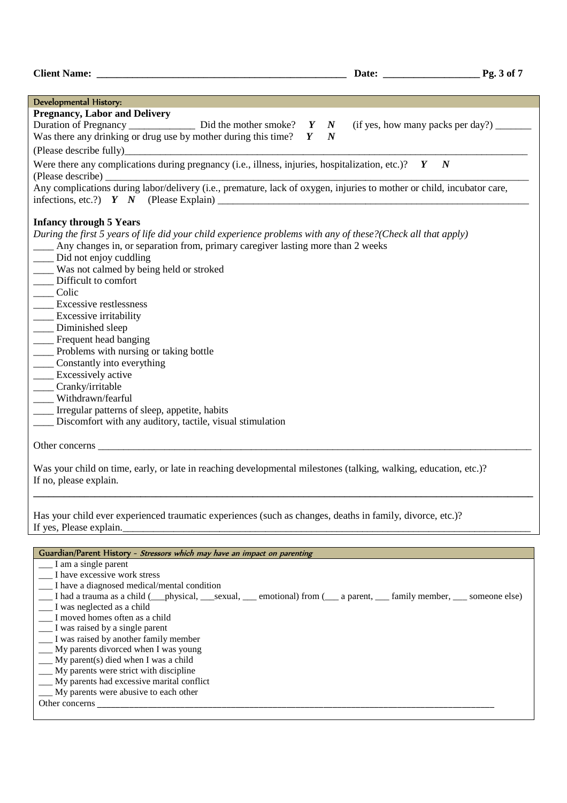| <b>Developmental History:</b><br><b>Pregnancy, Labor and Delivery</b><br>N<br>Was there any drinking or drug use by mother during this time? $Y$<br>$\boldsymbol{N}$<br>(Please describe fully)<br><u> 2000 - Jan James James Jan James James James James James James James James James James James James James Jam</u><br>Were there any complications during pregnancy (i.e., illness, injuries, hospitalization, etc.)? $Y$<br>N<br>(Please describe) _<br><u> 1980 - John Stein, Amerikaansk konst</u><br>Any complications during labor/delivery (i.e., premature, lack of oxygen, injuries to mother or child, incubator care,<br><b>Infancy through 5 Years</b><br>During the first 5 years of life did your child experience problems with any of these? (Check all that apply)<br>Any changes in, or separation from, primary caregiver lasting more than 2 weeks<br>_ Did not enjoy cuddling<br>__ Was not calmed by being held or stroked<br>Difficult to comfort<br>Colic<br><b>Excessive restlessness</b><br>Excessive irritability<br>Diminished sleep<br>Frequent head banging<br>Problems with nursing or taking bottle<br>____ Constantly into everything<br>Excessively active<br>Cranky/irritable<br>Withdrawn/fearful<br>____ Irregular patterns of sleep, appetite, habits<br>Discomfort with any auditory, tactile, visual stimulation<br>Was your child on time, early, or late in reaching developmental milestones (talking, walking, education, etc.)?<br>If no, please explain.<br>Has your child ever experienced traumatic experiences (such as changes, deaths in family, divorce, etc.)? |
|-------------------------------------------------------------------------------------------------------------------------------------------------------------------------------------------------------------------------------------------------------------------------------------------------------------------------------------------------------------------------------------------------------------------------------------------------------------------------------------------------------------------------------------------------------------------------------------------------------------------------------------------------------------------------------------------------------------------------------------------------------------------------------------------------------------------------------------------------------------------------------------------------------------------------------------------------------------------------------------------------------------------------------------------------------------------------------------------------------------------------------------------------------------------------------------------------------------------------------------------------------------------------------------------------------------------------------------------------------------------------------------------------------------------------------------------------------------------------------------------------------------------------------------------------------------------------------------------------------------------------|
|                                                                                                                                                                                                                                                                                                                                                                                                                                                                                                                                                                                                                                                                                                                                                                                                                                                                                                                                                                                                                                                                                                                                                                                                                                                                                                                                                                                                                                                                                                                                                                                                                         |
|                                                                                                                                                                                                                                                                                                                                                                                                                                                                                                                                                                                                                                                                                                                                                                                                                                                                                                                                                                                                                                                                                                                                                                                                                                                                                                                                                                                                                                                                                                                                                                                                                         |
|                                                                                                                                                                                                                                                                                                                                                                                                                                                                                                                                                                                                                                                                                                                                                                                                                                                                                                                                                                                                                                                                                                                                                                                                                                                                                                                                                                                                                                                                                                                                                                                                                         |
|                                                                                                                                                                                                                                                                                                                                                                                                                                                                                                                                                                                                                                                                                                                                                                                                                                                                                                                                                                                                                                                                                                                                                                                                                                                                                                                                                                                                                                                                                                                                                                                                                         |
|                                                                                                                                                                                                                                                                                                                                                                                                                                                                                                                                                                                                                                                                                                                                                                                                                                                                                                                                                                                                                                                                                                                                                                                                                                                                                                                                                                                                                                                                                                                                                                                                                         |
|                                                                                                                                                                                                                                                                                                                                                                                                                                                                                                                                                                                                                                                                                                                                                                                                                                                                                                                                                                                                                                                                                                                                                                                                                                                                                                                                                                                                                                                                                                                                                                                                                         |
|                                                                                                                                                                                                                                                                                                                                                                                                                                                                                                                                                                                                                                                                                                                                                                                                                                                                                                                                                                                                                                                                                                                                                                                                                                                                                                                                                                                                                                                                                                                                                                                                                         |
|                                                                                                                                                                                                                                                                                                                                                                                                                                                                                                                                                                                                                                                                                                                                                                                                                                                                                                                                                                                                                                                                                                                                                                                                                                                                                                                                                                                                                                                                                                                                                                                                                         |
|                                                                                                                                                                                                                                                                                                                                                                                                                                                                                                                                                                                                                                                                                                                                                                                                                                                                                                                                                                                                                                                                                                                                                                                                                                                                                                                                                                                                                                                                                                                                                                                                                         |
|                                                                                                                                                                                                                                                                                                                                                                                                                                                                                                                                                                                                                                                                                                                                                                                                                                                                                                                                                                                                                                                                                                                                                                                                                                                                                                                                                                                                                                                                                                                                                                                                                         |
|                                                                                                                                                                                                                                                                                                                                                                                                                                                                                                                                                                                                                                                                                                                                                                                                                                                                                                                                                                                                                                                                                                                                                                                                                                                                                                                                                                                                                                                                                                                                                                                                                         |
|                                                                                                                                                                                                                                                                                                                                                                                                                                                                                                                                                                                                                                                                                                                                                                                                                                                                                                                                                                                                                                                                                                                                                                                                                                                                                                                                                                                                                                                                                                                                                                                                                         |
|                                                                                                                                                                                                                                                                                                                                                                                                                                                                                                                                                                                                                                                                                                                                                                                                                                                                                                                                                                                                                                                                                                                                                                                                                                                                                                                                                                                                                                                                                                                                                                                                                         |
|                                                                                                                                                                                                                                                                                                                                                                                                                                                                                                                                                                                                                                                                                                                                                                                                                                                                                                                                                                                                                                                                                                                                                                                                                                                                                                                                                                                                                                                                                                                                                                                                                         |
|                                                                                                                                                                                                                                                                                                                                                                                                                                                                                                                                                                                                                                                                                                                                                                                                                                                                                                                                                                                                                                                                                                                                                                                                                                                                                                                                                                                                                                                                                                                                                                                                                         |
|                                                                                                                                                                                                                                                                                                                                                                                                                                                                                                                                                                                                                                                                                                                                                                                                                                                                                                                                                                                                                                                                                                                                                                                                                                                                                                                                                                                                                                                                                                                                                                                                                         |
|                                                                                                                                                                                                                                                                                                                                                                                                                                                                                                                                                                                                                                                                                                                                                                                                                                                                                                                                                                                                                                                                                                                                                                                                                                                                                                                                                                                                                                                                                                                                                                                                                         |
|                                                                                                                                                                                                                                                                                                                                                                                                                                                                                                                                                                                                                                                                                                                                                                                                                                                                                                                                                                                                                                                                                                                                                                                                                                                                                                                                                                                                                                                                                                                                                                                                                         |
|                                                                                                                                                                                                                                                                                                                                                                                                                                                                                                                                                                                                                                                                                                                                                                                                                                                                                                                                                                                                                                                                                                                                                                                                                                                                                                                                                                                                                                                                                                                                                                                                                         |
|                                                                                                                                                                                                                                                                                                                                                                                                                                                                                                                                                                                                                                                                                                                                                                                                                                                                                                                                                                                                                                                                                                                                                                                                                                                                                                                                                                                                                                                                                                                                                                                                                         |
|                                                                                                                                                                                                                                                                                                                                                                                                                                                                                                                                                                                                                                                                                                                                                                                                                                                                                                                                                                                                                                                                                                                                                                                                                                                                                                                                                                                                                                                                                                                                                                                                                         |
|                                                                                                                                                                                                                                                                                                                                                                                                                                                                                                                                                                                                                                                                                                                                                                                                                                                                                                                                                                                                                                                                                                                                                                                                                                                                                                                                                                                                                                                                                                                                                                                                                         |
|                                                                                                                                                                                                                                                                                                                                                                                                                                                                                                                                                                                                                                                                                                                                                                                                                                                                                                                                                                                                                                                                                                                                                                                                                                                                                                                                                                                                                                                                                                                                                                                                                         |
|                                                                                                                                                                                                                                                                                                                                                                                                                                                                                                                                                                                                                                                                                                                                                                                                                                                                                                                                                                                                                                                                                                                                                                                                                                                                                                                                                                                                                                                                                                                                                                                                                         |
|                                                                                                                                                                                                                                                                                                                                                                                                                                                                                                                                                                                                                                                                                                                                                                                                                                                                                                                                                                                                                                                                                                                                                                                                                                                                                                                                                                                                                                                                                                                                                                                                                         |
|                                                                                                                                                                                                                                                                                                                                                                                                                                                                                                                                                                                                                                                                                                                                                                                                                                                                                                                                                                                                                                                                                                                                                                                                                                                                                                                                                                                                                                                                                                                                                                                                                         |
|                                                                                                                                                                                                                                                                                                                                                                                                                                                                                                                                                                                                                                                                                                                                                                                                                                                                                                                                                                                                                                                                                                                                                                                                                                                                                                                                                                                                                                                                                                                                                                                                                         |
|                                                                                                                                                                                                                                                                                                                                                                                                                                                                                                                                                                                                                                                                                                                                                                                                                                                                                                                                                                                                                                                                                                                                                                                                                                                                                                                                                                                                                                                                                                                                                                                                                         |
|                                                                                                                                                                                                                                                                                                                                                                                                                                                                                                                                                                                                                                                                                                                                                                                                                                                                                                                                                                                                                                                                                                                                                                                                                                                                                                                                                                                                                                                                                                                                                                                                                         |
|                                                                                                                                                                                                                                                                                                                                                                                                                                                                                                                                                                                                                                                                                                                                                                                                                                                                                                                                                                                                                                                                                                                                                                                                                                                                                                                                                                                                                                                                                                                                                                                                                         |
|                                                                                                                                                                                                                                                                                                                                                                                                                                                                                                                                                                                                                                                                                                                                                                                                                                                                                                                                                                                                                                                                                                                                                                                                                                                                                                                                                                                                                                                                                                                                                                                                                         |
|                                                                                                                                                                                                                                                                                                                                                                                                                                                                                                                                                                                                                                                                                                                                                                                                                                                                                                                                                                                                                                                                                                                                                                                                                                                                                                                                                                                                                                                                                                                                                                                                                         |
|                                                                                                                                                                                                                                                                                                                                                                                                                                                                                                                                                                                                                                                                                                                                                                                                                                                                                                                                                                                                                                                                                                                                                                                                                                                                                                                                                                                                                                                                                                                                                                                                                         |
|                                                                                                                                                                                                                                                                                                                                                                                                                                                                                                                                                                                                                                                                                                                                                                                                                                                                                                                                                                                                                                                                                                                                                                                                                                                                                                                                                                                                                                                                                                                                                                                                                         |
|                                                                                                                                                                                                                                                                                                                                                                                                                                                                                                                                                                                                                                                                                                                                                                                                                                                                                                                                                                                                                                                                                                                                                                                                                                                                                                                                                                                                                                                                                                                                                                                                                         |
| If yes, Please explain.                                                                                                                                                                                                                                                                                                                                                                                                                                                                                                                                                                                                                                                                                                                                                                                                                                                                                                                                                                                                                                                                                                                                                                                                                                                                                                                                                                                                                                                                                                                                                                                                 |
|                                                                                                                                                                                                                                                                                                                                                                                                                                                                                                                                                                                                                                                                                                                                                                                                                                                                                                                                                                                                                                                                                                                                                                                                                                                                                                                                                                                                                                                                                                                                                                                                                         |
| Guardian/Parent History - Stressors which may have an impact on parenting                                                                                                                                                                                                                                                                                                                                                                                                                                                                                                                                                                                                                                                                                                                                                                                                                                                                                                                                                                                                                                                                                                                                                                                                                                                                                                                                                                                                                                                                                                                                               |
| I am a single parent                                                                                                                                                                                                                                                                                                                                                                                                                                                                                                                                                                                                                                                                                                                                                                                                                                                                                                                                                                                                                                                                                                                                                                                                                                                                                                                                                                                                                                                                                                                                                                                                    |
| I have excessive work stress                                                                                                                                                                                                                                                                                                                                                                                                                                                                                                                                                                                                                                                                                                                                                                                                                                                                                                                                                                                                                                                                                                                                                                                                                                                                                                                                                                                                                                                                                                                                                                                            |
| I have a diagnosed medical/mental condition                                                                                                                                                                                                                                                                                                                                                                                                                                                                                                                                                                                                                                                                                                                                                                                                                                                                                                                                                                                                                                                                                                                                                                                                                                                                                                                                                                                                                                                                                                                                                                             |
| _I had a trauma as a child (___physical, ___sexual, ___ emotional) from (___ a parent, ___ family member, ___ someone else)                                                                                                                                                                                                                                                                                                                                                                                                                                                                                                                                                                                                                                                                                                                                                                                                                                                                                                                                                                                                                                                                                                                                                                                                                                                                                                                                                                                                                                                                                             |
| _ I was neglected as a child                                                                                                                                                                                                                                                                                                                                                                                                                                                                                                                                                                                                                                                                                                                                                                                                                                                                                                                                                                                                                                                                                                                                                                                                                                                                                                                                                                                                                                                                                                                                                                                            |
| I moved homes often as a child<br>__ I was raised by a single parent                                                                                                                                                                                                                                                                                                                                                                                                                                                                                                                                                                                                                                                                                                                                                                                                                                                                                                                                                                                                                                                                                                                                                                                                                                                                                                                                                                                                                                                                                                                                                    |
| I was raised by another family member                                                                                                                                                                                                                                                                                                                                                                                                                                                                                                                                                                                                                                                                                                                                                                                                                                                                                                                                                                                                                                                                                                                                                                                                                                                                                                                                                                                                                                                                                                                                                                                   |

- *\_\_\_* My parents divorced when I was young
- *\_\_\_* My parent(s) died when I was a child
- *\_\_\_* My parents were strict with discipline
- *\_\_\_* My parents had excessive marital conflict
- *\_\_\_* My parents were abusive to each other

## Other concerns \_\_\_\_\_\_\_\_\_\_\_\_\_\_\_\_\_\_\_\_\_\_\_\_\_\_\_\_\_\_\_\_\_\_\_\_\_\_\_\_\_\_\_\_\_\_\_\_\_\_\_\_\_\_\_\_\_\_\_\_\_\_\_\_\_\_\_\_\_\_\_\_\_\_\_\_\_\_\_\_\_\_\_\_\_\_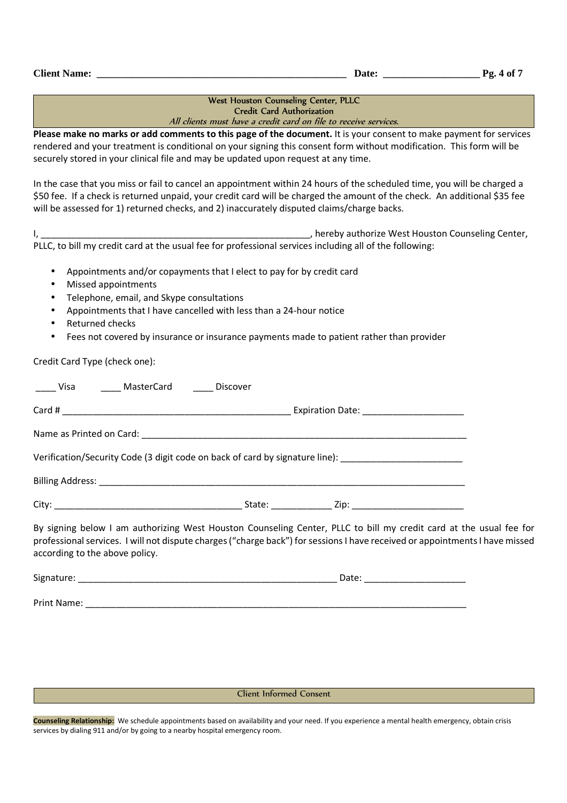# West Houston Counseling Center, PLLC Credit Card Authorization

All clients must have a credit card on file to receive services.

**Please make no marks or add comments to this page of the document.** It is your consent to make payment for services rendered and your treatment is conditional on your signing this consent form without modification. This form will be securely stored in your clinical file and may be updated upon request at any time.

In the case that you miss or fail to cancel an appointment within 24 hours of the scheduled time, you will be charged a \$50 fee. If a check is returned unpaid, your credit card will be charged the amount of the check. An additional \$35 fee will be assessed for 1) returned checks, and 2) inaccurately disputed claims/charge backs.

I, \_\_\_\_\_\_\_\_\_\_\_\_\_\_\_\_\_\_\_\_\_\_\_\_\_\_\_\_\_\_\_\_\_\_\_\_\_\_\_\_\_\_\_\_\_\_\_\_\_\_\_\_\_, hereby authorize West Houston Counseling Center, PLLC, to bill my credit card at the usual fee for professional services including all of the following:

- Appointments and/or copayments that I elect to pay for by credit card
- Missed appointments
- Telephone, email, and Skype consultations
- Appointments that I have cancelled with less than a 24-hour notice
- Returned checks
- Fees not covered by insurance or insurance payments made to patient rather than provider

Credit Card Type (check one):

| Visa MasterCard Discover       |  |                                                                                                     |                                                                                                                                                                                                                                                    |
|--------------------------------|--|-----------------------------------------------------------------------------------------------------|----------------------------------------------------------------------------------------------------------------------------------------------------------------------------------------------------------------------------------------------------|
|                                |  |                                                                                                     |                                                                                                                                                                                                                                                    |
|                                |  |                                                                                                     |                                                                                                                                                                                                                                                    |
|                                |  | Verification/Security Code (3 digit code on back of card by signature line): ______________________ |                                                                                                                                                                                                                                                    |
|                                |  |                                                                                                     |                                                                                                                                                                                                                                                    |
|                                |  |                                                                                                     |                                                                                                                                                                                                                                                    |
| according to the above policy. |  |                                                                                                     | By signing below I am authorizing West Houston Counseling Center, PLLC to bill my credit card at the usual fee for<br>professional services. I will not dispute charges ("charge back") for sessions I have received or appointments I have missed |

| Signature:  | Date: |
|-------------|-------|
|             |       |
| Print Name: |       |

Client Informed Consent

**Counseling Relationship:** We schedule appointments based on availability and your need. If you experience a mental health emergency, obtain crisis services by dialing 911 and/or by going to a nearby hospital emergency room.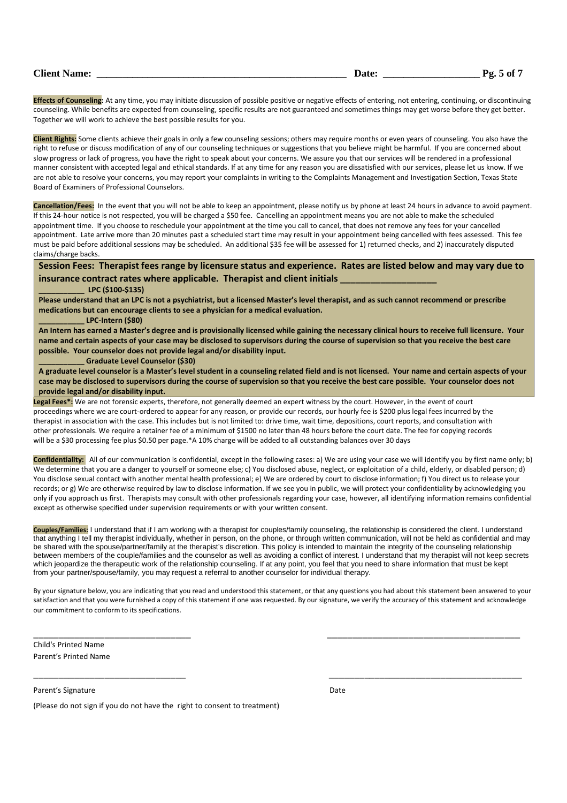| Client .<br><b>Name:</b> | Date:<br>. | Ol<br>.<br>-<br>$\sim$<br>--<br>$\mathbf{\sigma}$<br>$\sim$ $\sim$ |
|--------------------------|------------|--------------------------------------------------------------------|
|                          |            |                                                                    |

**Effects of Counseling:** At any time, you may initiate discussion of possible positive or negative effects of entering, not entering, continuing, or discontinuing counseling. While benefits are expected from counseling, specific results are not guaranteed and sometimes things may get worse before they get better. Together we will work to achieve the best possible results for you.

**Client Rights:** Some clients achieve their goals in only a few counseling sessions; others may require months or even years of counseling. You also have the right to refuse or discuss modification of any of our counseling techniques or suggestions that you believe might be harmful. If you are concerned about slow progress or lack of progress, you have the right to speak about your concerns. We assure you that our services will be rendered in a professional manner consistent with accepted legal and ethical standards. If at any time for any reason you are dissatisfied with our services, please let us know. If we are not able to resolve your concerns, you may report your complaints in writing to the Complaints Management and Investigation Section, Texas State Board of Examiners of Professional Counselors.

**Cancellation/Fees:** In the event that you will not be able to keep an appointment, please notify us by phone at least 24 hours in advance to avoid payment. If this 24-hour notice is not respected, you will be charged a \$50 fee. Cancelling an appointment means you are not able to make the scheduled appointment time. If you choose to reschedule your appointment at the time you call to cancel, that does not remove any fees for your cancelled appointment. Late arrive more than 20 minutes past a scheduled start time may result in your appointment being cancelled with fees assessed. This fee must be paid before additional sessions may be scheduled. An additional \$35 fee will be assessed for 1) returned checks, and 2) inaccurately disputed claims/charge backs.

**Session Fees: Therapist fees range by licensure status and experience. Rates are listed below and may vary due to**  insurance contract rates where applicable. Therapist and client initials

#### **\_\_\_\_\_\_\_\_\_\_\_ LPC (\$100-\$135)**

**Please understand that an LPC is not a psychiatrist, but a licensed Master's level therapist, and as such cannot recommend or prescribe medications but can encourage clients to see a physician for a medical evaluation.** 

#### **\_\_\_\_\_\_\_\_\_\_\_ LPC-Intern (\$80)**

**An Intern has earned a Master's degree and is provisionally licensed while gaining the necessary clinical hours to receive full licensure. Your name and certain aspects of your case may be disclosed to supervisors during the course of supervision so that you receive the best care possible. Your counselor does not provide legal and/or disability input.** 

**\_\_\_\_\_\_\_\_\_\_\_ Graduate Level Counselor (\$30)** 

**A graduate level counselor is a Master's level student in a counseling related field and is not licensed. Your name and certain aspects of your case may be disclosed to supervisors during the course of supervision so that you receive the best care possible. Your counselor does not provide legal and/or disability input.** 

Legal Fees<sup>\*</sup>: We are not forensic experts, therefore, not generally deemed an expert witness by the court. However, in the event of court proceedings where we are court-ordered to appear for any reason, or provide our records, our hourly fee is \$200 plus legal fees incurred by the therapist in association with the case. This includes but is not limited to: drive time, wait time, depositions, court reports, and consultation with other professionals. We require a retainer fee of a minimum of \$1500 no later than 48 hours before the court date. The fee for copying records will be a \$30 processing fee plus \$0.50 per page.\*A 10% charge will be added to all outstanding balances over 30 days

**Confidentiality:** All of our communication is confidential, except in the following cases: a) We are using your case we will identify you by first name only; b) We determine that you are a danger to yourself or someone else; c) You disclosed abuse, neglect, or exploitation of a child, elderly, or disabled person; d) You disclose sexual contact with another mental health professional; e) We are ordered by court to disclose information; f) You direct us to release your records; or g) We are otherwise required by law to disclose information. If we see you in public, we will protect your confidentiality by acknowledging you only if you approach us first. Therapists may consult with other professionals regarding your case, however, all identifying information remains confidential except as otherwise specified under supervision requirements or with your written consent.

**Couples/Families:** I understand that if I am working with a therapist for couples/family counseling, the relationship is considered the client. I understand that anything I tell my therapist individually, whether in person, on the phone, or through written communication, will not be held as confidential and may be shared with the spouse/partner/family at the therapist's discretion. This policy is intended to maintain the integrity of the counseling relationship between members of the couple/families and the counselor as well as avoiding a conflict of interest. I understand that my therapist will not keep secrets which jeopardize the therapeutic work of the relationship counseling. If at any point, you feel that you need to share information that must be kept from your partner/spouse/family, you may request a referral to another counselor for individual therapy.

By your signature below, you are indicating that you read and understood this statement, or that any questions you had about this statement been answered to your satisfaction and that you were furnished a copy of this statement if one was requested. By our signature, we verify the accuracy of this statement and acknowledge our commitment to conform to its specifications.

\_\_\_\_\_\_\_\_\_\_\_\_\_\_\_\_\_\_\_\_\_\_\_\_\_\_\_\_\_\_\_ \_\_\_\_\_\_\_\_\_\_\_\_\_\_\_\_\_\_\_\_\_\_\_\_\_\_\_\_\_\_\_\_\_\_\_\_\_\_

\_\_\_\_\_\_\_\_\_\_\_\_\_\_\_\_\_\_\_\_\_\_\_\_\_\_\_\_\_\_ \_\_\_\_\_\_\_\_\_\_\_\_\_\_\_\_\_\_\_\_\_\_\_\_\_\_\_\_\_\_\_\_\_\_\_\_\_\_

Child's Printed Name Parent's Printed Name

Parent's Signature Date Date of the Date of the Date of the Date of the Date of the Date of the Date of the Date of the Date of the Date of the Date of the Date of the Date of the Date of the Date of the Date of the Date o

(Please do not sign if you do not have the right to consent to treatment)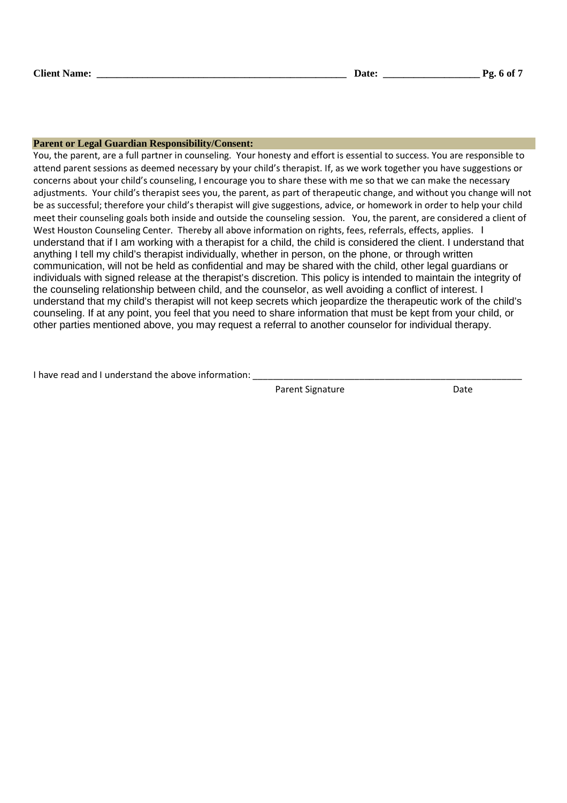### **Parent or Legal Guardian Responsibility/Consent:**

You, the parent, are a full partner in counseling. Your honesty and effort is essential to success. You are responsible to attend parent sessions as deemed necessary by your child's therapist. If, as we work together you have suggestions or concerns about your child's counseling, I encourage you to share these with me so that we can make the necessary adjustments. Your child's therapist sees you, the parent, as part of therapeutic change, and without you change will not be as successful; therefore your child's therapist will give suggestions, advice, or homework in order to help your child meet their counseling goals both inside and outside the counseling session. You, the parent, are considered a client of West Houston Counseling Center. Thereby all above information on rights, fees, referrals, effects, applies. I understand that if I am working with a therapist for a child, the child is considered the client. I understand that anything I tell my child's therapist individually, whether in person, on the phone, or through written communication, will not be held as confidential and may be shared with the child, other legal guardians or individuals with signed release at the therapist's discretion. This policy is intended to maintain the integrity of the counseling relationship between child, and the counselor, as well avoiding a conflict of interest. I understand that my child's therapist will not keep secrets which jeopardize the therapeutic work of the child's counseling. If at any point, you feel that you need to share information that must be kept from your child, or other parties mentioned above, you may request a referral to another counselor for individual therapy.

I have read and I understand the above information:

Parent Signature Date